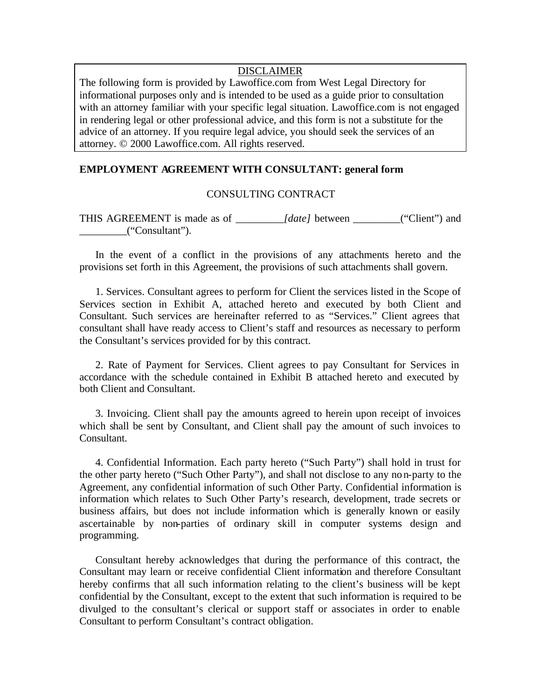## DISCLAIMER

The following form is provided by Lawoffice.com from West Legal Directory for informational purposes only and is intended to be used as a guide prior to consultation with an attorney familiar with your specific legal situation. Lawoffice.com is not engaged in rendering legal or other professional advice, and this form is not a substitute for the advice of an attorney. If you require legal advice, you should seek the services of an attorney. © 2000 Lawoffice.com. All rights reserved.

## **EMPLOYMENT AGREEMENT WITH CONSULTANT: general form**

## CONSULTING CONTRACT

THIS AGREEMENT is made as of *\_\_\_\_\_\_\_\_\_[date]* between \_\_\_\_\_\_\_\_\_("Client") and \_\_\_\_\_\_\_\_\_("Consultant").

In the event of a conflict in the provisions of any attachments hereto and the provisions set forth in this Agreement, the provisions of such attachments shall govern.

1. Services. Consultant agrees to perform for Client the services listed in the Scope of Services section in Exhibit A, attached hereto and executed by both Client and Consultant. Such services are hereinafter referred to as "Services." Client agrees that consultant shall have ready access to Client's staff and resources as necessary to perform the Consultant's services provided for by this contract.

2. Rate of Payment for Services. Client agrees to pay Consultant for Services in accordance with the schedule contained in Exhibit B attached hereto and executed by both Client and Consultant.

3. Invoicing. Client shall pay the amounts agreed to herein upon receipt of invoices which shall be sent by Consultant, and Client shall pay the amount of such invoices to Consultant.

4. Confidential Information. Each party hereto ("Such Party") shall hold in trust for the other party hereto ("Such Other Party"), and shall not disclose to any non-party to the Agreement, any confidential information of such Other Party. Confidential information is information which relates to Such Other Party's research, development, trade secrets or business affairs, but does not include information which is generally known or easily ascertainable by non-parties of ordinary skill in computer systems design and programming.

Consultant hereby acknowledges that during the performance of this contract, the Consultant may learn or receive confidential Client information and therefore Consultant hereby confirms that all such information relating to the client's business will be kept confidential by the Consultant, except to the extent that such information is required to be divulged to the consultant's clerical or support staff or associates in order to enable Consultant to perform Consultant's contract obligation.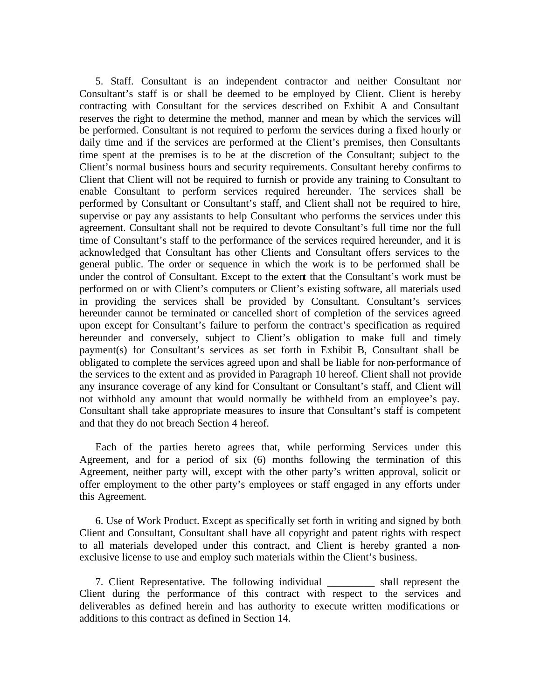5. Staff. Consultant is an independent contractor and neither Consultant nor Consultant's staff is or shall be deemed to be employed by Client. Client is hereby contracting with Consultant for the services described on Exhibit A and Consultant reserves the right to determine the method, manner and mean by which the services will be performed. Consultant is not required to perform the services during a fixed hourly or daily time and if the services are performed at the Client's premises, then Consultants time spent at the premises is to be at the discretion of the Consultant; subject to the Client's normal business hours and security requirements. Consultant hereby confirms to Client that Client will not be required to furnish or provide any training to Consultant to enable Consultant to perform services required hereunder. The services shall be performed by Consultant or Consultant's staff, and Client shall not be required to hire, supervise or pay any assistants to help Consultant who performs the services under this agreement. Consultant shall not be required to devote Consultant's full time nor the full time of Consultant's staff to the performance of the services required hereunder, and it is acknowledged that Consultant has other Clients and Consultant offers services to the general public. The order or sequence in which the work is to be performed shall be under the control of Consultant. Except to the extent that the Consultant's work must be performed on or with Client's computers or Client's existing software, all materials used in providing the services shall be provided by Consultant. Consultant's services hereunder cannot be terminated or cancelled short of completion of the services agreed upon except for Consultant's failure to perform the contract's specification as required hereunder and conversely, subject to Client's obligation to make full and timely payment(s) for Consultant's services as set forth in Exhibit B, Consultant shall be obligated to complete the services agreed upon and shall be liable for non-performance of the services to the extent and as provided in Paragraph 10 hereof. Client shall not provide any insurance coverage of any kind for Consultant or Consultant's staff, and Client will not withhold any amount that would normally be withheld from an employee's pay. Consultant shall take appropriate measures to insure that Consultant's staff is competent and that they do not breach Section 4 hereof.

Each of the parties hereto agrees that, while performing Services under this Agreement, and for a period of six (6) months following the termination of this Agreement, neither party will, except with the other party's written approval, solicit or offer employment to the other party's employees or staff engaged in any efforts under this Agreement.

6. Use of Work Product. Except as specifically set forth in writing and signed by both Client and Consultant, Consultant shall have all copyright and patent rights with respect to all materials developed under this contract, and Client is hereby granted a nonexclusive license to use and employ such materials within the Client's business.

7. Client Representative. The following individual \_\_\_\_\_\_\_\_\_ shall represent the Client during the performance of this contract with respect to the services and deliverables as defined herein and has authority to execute written modifications or additions to this contract as defined in Section 14.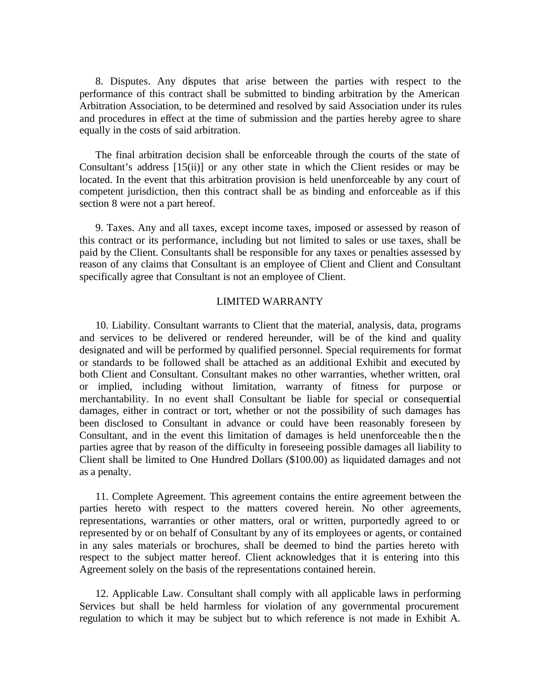8. Disputes. Any disputes that arise between the parties with respect to the performance of this contract shall be submitted to binding arbitration by the American Arbitration Association, to be determined and resolved by said Association under its rules and procedures in effect at the time of submission and the parties hereby agree to share equally in the costs of said arbitration.

The final arbitration decision shall be enforceable through the courts of the state of Consultant's address [15(ii)] or any other state in which the Client resides or may be located. In the event that this arbitration provision is held unenforceable by any court of competent jurisdiction, then this contract shall be as binding and enforceable as if this section 8 were not a part hereof.

9. Taxes. Any and all taxes, except income taxes, imposed or assessed by reason of this contract or its performance, including but not limited to sales or use taxes, shall be paid by the Client. Consultants shall be responsible for any taxes or penalties assessed by reason of any claims that Consultant is an employee of Client and Client and Consultant specifically agree that Consultant is not an employee of Client.

## LIMITED WARRANTY

10. Liability. Consultant warrants to Client that the material, analysis, data, programs and services to be delivered or rendered hereunder, will be of the kind and quality designated and will be performed by qualified personnel. Special requirements for format or standards to be followed shall be attached as an additional Exhibit and executed by both Client and Consultant. Consultant makes no other warranties, whether written, oral or implied, including without limitation, warranty of fitness for purpose or merchantability. In no event shall Consultant be liable for special or consequential damages, either in contract or tort, whether or not the possibility of such damages has been disclosed to Consultant in advance or could have been reasonably foreseen by Consultant, and in the event this limitation of damages is held unenforceable then the parties agree that by reason of the difficulty in foreseeing possible damages all liability to Client shall be limited to One Hundred Dollars (\$100.00) as liquidated damages and not as a penalty.

11. Complete Agreement. This agreement contains the entire agreement between the parties hereto with respect to the matters covered herein. No other agreements, representations, warranties or other matters, oral or written, purportedly agreed to or represented by or on behalf of Consultant by any of its employees or agents, or contained in any sales materials or brochures, shall be deemed to bind the parties hereto with respect to the subject matter hereof. Client acknowledges that it is entering into this Agreement solely on the basis of the representations contained herein.

12. Applicable Law. Consultant shall comply with all applicable laws in performing Services but shall be held harmless for violation of any governmental procurement regulation to which it may be subject but to which reference is not made in Exhibit A.